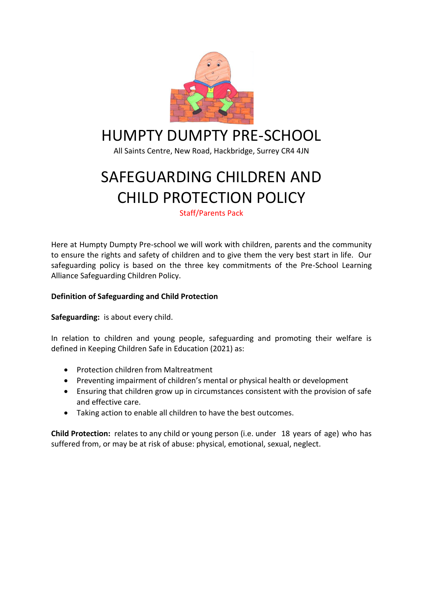

# HUMPTY DUMPTY PRE-SCHOOL

All Saints Centre, New Road, Hackbridge, Surrey CR4 4JN

# SAFEGUARDING CHILDREN AND CHILD PROTECTION POLICY

Staff/Parents Pack

Here at Humpty Dumpty Pre-school we will work with children, parents and the community to ensure the rights and safety of children and to give them the very best start in life. Our safeguarding policy is based on the three key commitments of the Pre-School Learning Alliance Safeguarding Children Policy.

# **Definition of Safeguarding and Child Protection**

**Safeguarding:** is about every child.

In relation to children and young people, safeguarding and promoting their welfare is defined in Keeping Children Safe in Education (2021) as:

- Protection children from Maltreatment
- Preventing impairment of children's mental or physical health or development
- Ensuring that children grow up in circumstances consistent with the provision of safe and effective care.
- Taking action to enable all children to have the best outcomes.

**Child Protection:** relates to any child or young person (i.e. under 18 years of age) who has suffered from, or may be at risk of abuse: physical, emotional, sexual, neglect.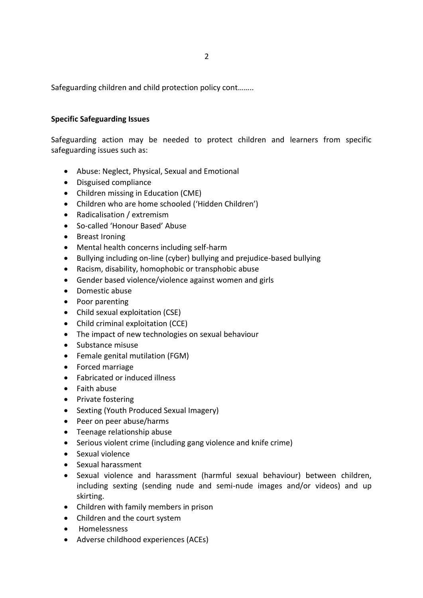Safeguarding children and child protection policy cont……..

# **Specific Safeguarding Issues**

Safeguarding action may be needed to protect children and learners from specific safeguarding issues such as:

- Abuse: Neglect, Physical, Sexual and Emotional
- Disguised compliance
- Children missing in Education (CME)
- Children who are home schooled ('Hidden Children')
- Radicalisation / extremism
- So-called 'Honour Based' Abuse
- Breast Ironing
- Mental health concerns including self-harm
- Bullying including on-line (cyber) bullying and prejudice-based bullying
- Racism, disability, homophobic or transphobic abuse
- Gender based violence/violence against women and girls
- Domestic abuse
- Poor parenting
- Child sexual exploitation (CSE)
- Child criminal exploitation (CCE)
- The impact of new technologies on sexual behaviour
- Substance misuse
- Female genital mutilation (FGM)
- Forced marriage
- Fabricated or induced illness
- Faith abuse
- Private fostering
- Sexting (Youth Produced Sexual Imagery)
- Peer on peer abuse/harms
- Teenage relationship abuse
- Serious violent crime (including gang violence and knife crime)
- Sexual violence
- Sexual harassment
- Sexual violence and harassment (harmful sexual behaviour) between children, including sexting (sending nude and semi-nude images and/or videos) and up skirting.
- Children with family members in prison
- Children and the court system
- Homelessness
- Adverse childhood experiences (ACEs)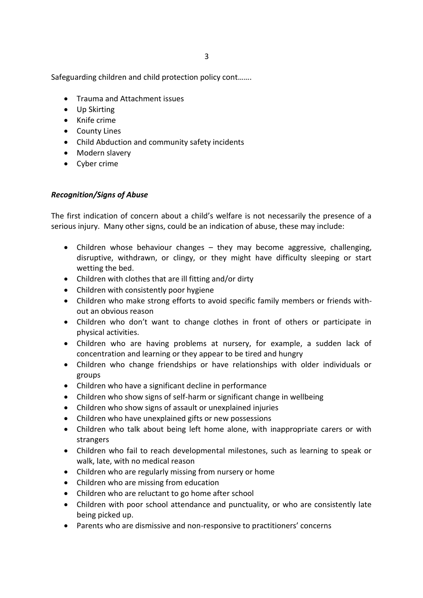Safeguarding children and child protection policy cont…….

- **•** Trauma and Attachment issues
- Up Skirting
- Knife crime
- County Lines
- Child Abduction and community safety incidents
- Modern slavery
- Cyber crime

# *Recognition/Signs of Abuse*

The first indication of concern about a child's welfare is not necessarily the presence of a serious injury. Many other signs, could be an indication of abuse, these may include:

- Children whose behaviour changes they may become aggressive, challenging, disruptive, withdrawn, or clingy, or they might have difficulty sleeping or start wetting the bed.
- Children with clothes that are ill fitting and/or dirty
- Children with consistently poor hygiene
- Children who make strong efforts to avoid specific family members or friends without an obvious reason
- Children who don't want to change clothes in front of others or participate in physical activities.
- Children who are having problems at nursery, for example, a sudden lack of concentration and learning or they appear to be tired and hungry
- Children who change friendships or have relationships with older individuals or groups
- Children who have a significant decline in performance
- Children who show signs of self-harm or significant change in wellbeing
- Children who show signs of assault or unexplained injuries
- Children who have unexplained gifts or new possessions
- Children who talk about being left home alone, with inappropriate carers or with strangers
- Children who fail to reach developmental milestones, such as learning to speak or walk, late, with no medical reason
- Children who are regularly missing from nursery or home
- Children who are missing from education
- Children who are reluctant to go home after school
- Children with poor school attendance and punctuality, or who are consistently late being picked up.
- Parents who are dismissive and non-responsive to practitioners' concerns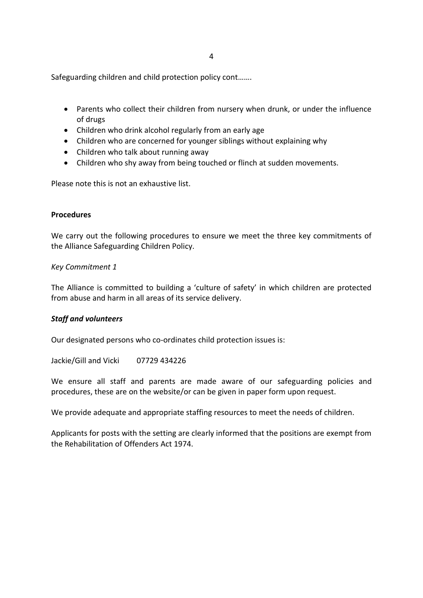4

Safeguarding children and child protection policy cont…….

- Parents who collect their children from nursery when drunk, or under the influence of drugs
- Children who drink alcohol regularly from an early age
- Children who are concerned for younger siblings without explaining why
- Children who talk about running away
- Children who shy away from being touched or flinch at sudden movements.

Please note this is not an exhaustive list.

#### **Procedures**

We carry out the following procedures to ensure we meet the three key commitments of the Alliance Safeguarding Children Policy.

#### *Key Commitment 1*

The Alliance is committed to building a 'culture of safety' in which children are protected from abuse and harm in all areas of its service delivery.

# *Staff and volunteers*

Our designated persons who co-ordinates child protection issues is:

Jackie/Gill and Vicki 07729 434226

We ensure all staff and parents are made aware of our safeguarding policies and procedures, these are on the website/or can be given in paper form upon request.

We provide adequate and appropriate staffing resources to meet the needs of children.

Applicants for posts with the setting are clearly informed that the positions are exempt from the Rehabilitation of Offenders Act 1974.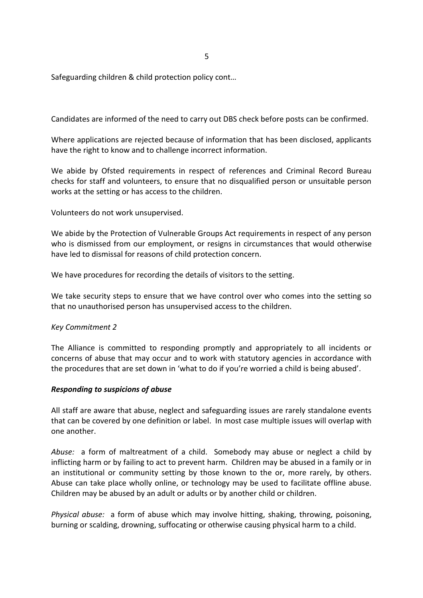5

Safeguarding children & child protection policy cont…

Candidates are informed of the need to carry out DBS check before posts can be confirmed.

Where applications are rejected because of information that has been disclosed, applicants have the right to know and to challenge incorrect information.

We abide by Ofsted requirements in respect of references and Criminal Record Bureau checks for staff and volunteers, to ensure that no disqualified person or unsuitable person works at the setting or has access to the children.

Volunteers do not work unsupervised.

We abide by the Protection of Vulnerable Groups Act requirements in respect of any person who is dismissed from our employment, or resigns in circumstances that would otherwise have led to dismissal for reasons of child protection concern.

We have procedures for recording the details of visitors to the setting.

We take security steps to ensure that we have control over who comes into the setting so that no unauthorised person has unsupervised access to the children.

#### *Key Commitment 2*

The Alliance is committed to responding promptly and appropriately to all incidents or concerns of abuse that may occur and to work with statutory agencies in accordance with the procedures that are set down in 'what to do if you're worried a child is being abused'.

#### *Responding to suspicions of abuse*

All staff are aware that abuse, neglect and safeguarding issues are rarely standalone events that can be covered by one definition or label. In most case multiple issues will overlap with one another.

*Abuse:* a form of maltreatment of a child. Somebody may abuse or neglect a child by inflicting harm or by failing to act to prevent harm. Children may be abused in a family or in an institutional or community setting by those known to the or, more rarely, by others. Abuse can take place wholly online, or technology may be used to facilitate offline abuse. Children may be abused by an adult or adults or by another child or children.

*Physical abuse:* a form of abuse which may involve hitting, shaking, throwing, poisoning, burning or scalding, drowning, suffocating or otherwise causing physical harm to a child.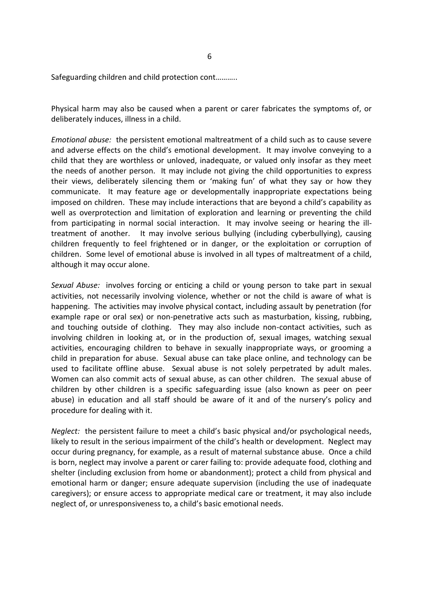Safeguarding children and child protection cont………..

Physical harm may also be caused when a parent or carer fabricates the symptoms of, or deliberately induces, illness in a child.

*Emotional abuse:* the persistent emotional maltreatment of a child such as to cause severe and adverse effects on the child's emotional development. It may involve conveying to a child that they are worthless or unloved, inadequate, or valued only insofar as they meet the needs of another person. It may include not giving the child opportunities to express their views, deliberately silencing them or 'making fun' of what they say or how they communicate. It may feature age or developmentally inappropriate expectations being imposed on children. These may include interactions that are beyond a child's capability as well as overprotection and limitation of exploration and learning or preventing the child from participating in normal social interaction. It may involve seeing or hearing the illtreatment of another. It may involve serious bullying (including cyberbullying), causing children frequently to feel frightened or in danger, or the exploitation or corruption of children. Some level of emotional abuse is involved in all types of maltreatment of a child, although it may occur alone.

*Sexual Abuse:* involves forcing or enticing a child or young person to take part in sexual activities, not necessarily involving violence, whether or not the child is aware of what is happening. The activities may involve physical contact, including assault by penetration (for example rape or oral sex) or non-penetrative acts such as masturbation, kissing, rubbing, and touching outside of clothing. They may also include non-contact activities, such as involving children in looking at, or in the production of, sexual images, watching sexual activities, encouraging children to behave in sexually inappropriate ways, or grooming a child in preparation for abuse. Sexual abuse can take place online, and technology can be used to facilitate offline abuse. Sexual abuse is not solely perpetrated by adult males. Women can also commit acts of sexual abuse, as can other children. The sexual abuse of children by other children is a specific safeguarding issue (also known as peer on peer abuse) in education and all staff should be aware of it and of the nursery's policy and procedure for dealing with it.

*Neglect:* the persistent failure to meet a child's basic physical and/or psychological needs, likely to result in the serious impairment of the child's health or development. Neglect may occur during pregnancy, for example, as a result of maternal substance abuse. Once a child is born, neglect may involve a parent or carer failing to: provide adequate food, clothing and shelter (including exclusion from home or abandonment); protect a child from physical and emotional harm or danger; ensure adequate supervision (including the use of inadequate caregivers); or ensure access to appropriate medical care or treatment, it may also include neglect of, or unresponsiveness to, a child's basic emotional needs.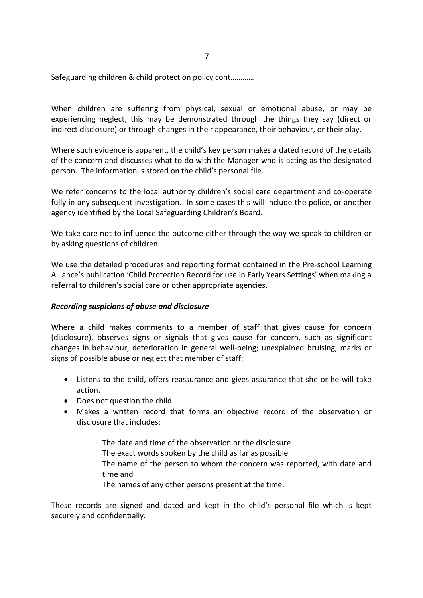Safeguarding children & child protection policy cont…………

When children are suffering from physical, sexual or emotional abuse, or may be experiencing neglect, this may be demonstrated through the things they say (direct or indirect disclosure) or through changes in their appearance, their behaviour, or their play.

Where such evidence is apparent, the child's key person makes a dated record of the details of the concern and discusses what to do with the Manager who is acting as the designated person. The information is stored on the child's personal file.

We refer concerns to the local authority children's social care department and co-operate fully in any subsequent investigation. In some cases this will include the police, or another agency identified by the Local Safeguarding Children's Board.

We take care not to influence the outcome either through the way we speak to children or by asking questions of children.

We use the detailed procedures and reporting format contained in the Pre-school Learning Alliance's publication 'Child Protection Record for use in Early Years Settings' when making a referral to children's social care or other appropriate agencies.

# *Recording suspicions of abuse and disclosure*

Where a child makes comments to a member of staff that gives cause for concern (disclosure), observes signs or signals that gives cause for concern, such as significant changes in behaviour, deterioration in general well-being; unexplained bruising, marks or signs of possible abuse or neglect that member of staff:

- Listens to the child, offers reassurance and gives assurance that she or he will take action.
- Does not question the child.
- Makes a written record that forms an objective record of the observation or disclosure that includes:

The date and time of the observation or the disclosure The exact words spoken by the child as far as possible The name of the person to whom the concern was reported, with date and time and The names of any other persons present at the time.

These records are signed and dated and kept in the child's personal file which is kept securely and confidentially.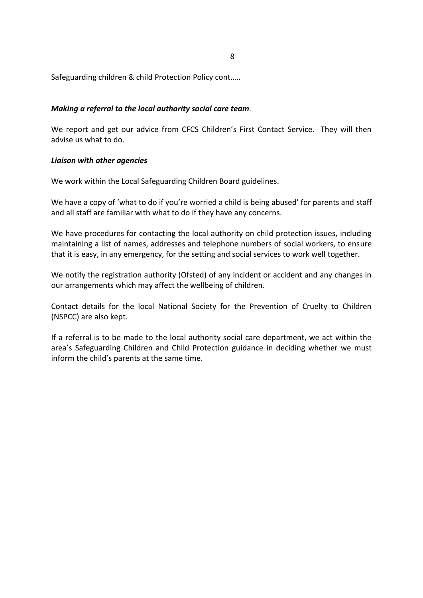Safeguarding children & child Protection Policy cont…..

#### *Making a referral to the local authority social care team.*

We report and get our advice from CFCS Children's First Contact Service. They will then advise us what to do.

#### *Liaison with other agencies*

We work within the Local Safeguarding Children Board guidelines.

We have a copy of 'what to do if you're worried a child is being abused' for parents and staff and all staff are familiar with what to do if they have any concerns.

We have procedures for contacting the local authority on child protection issues, including maintaining a list of names, addresses and telephone numbers of social workers, to ensure that it is easy, in any emergency, for the setting and social services to work well together.

We notify the registration authority (Ofsted) of any incident or accident and any changes in our arrangements which may affect the wellbeing of children.

Contact details for the local National Society for the Prevention of Cruelty to Children (NSPCC) are also kept.

If a referral is to be made to the local authority social care department, we act within the area's Safeguarding Children and Child Protection guidance in deciding whether we must inform the child's parents at the same time.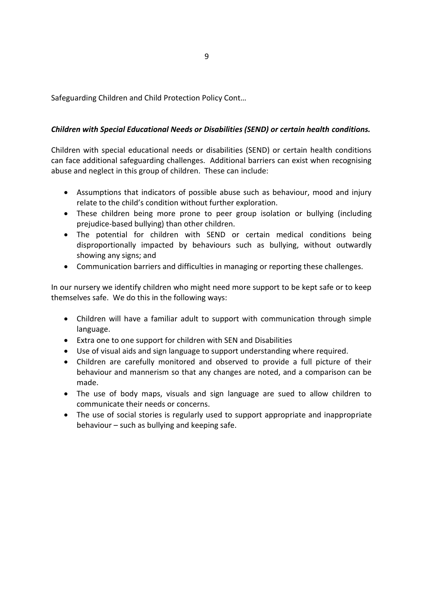Safeguarding Children and Child Protection Policy Cont…

# *Children with Special Educational Needs or Disabilities (SEND) or certain health conditions.*

Children with special educational needs or disabilities (SEND) or certain health conditions can face additional safeguarding challenges. Additional barriers can exist when recognising abuse and neglect in this group of children. These can include:

- Assumptions that indicators of possible abuse such as behaviour, mood and injury relate to the child's condition without further exploration.
- These children being more prone to peer group isolation or bullying (including prejudice-based bullying) than other children.
- The potential for children with SEND or certain medical conditions being disproportionally impacted by behaviours such as bullying, without outwardly showing any signs; and
- Communication barriers and difficulties in managing or reporting these challenges.

In our nursery we identify children who might need more support to be kept safe or to keep themselves safe. We do this in the following ways:

- Children will have a familiar adult to support with communication through simple language.
- Extra one to one support for children with SEN and Disabilities
- Use of visual aids and sign language to support understanding where required.
- Children are carefully monitored and observed to provide a full picture of their behaviour and mannerism so that any changes are noted, and a comparison can be made.
- The use of body maps, visuals and sign language are sued to allow children to communicate their needs or concerns.
- The use of social stories is regularly used to support appropriate and inappropriate behaviour – such as bullying and keeping safe.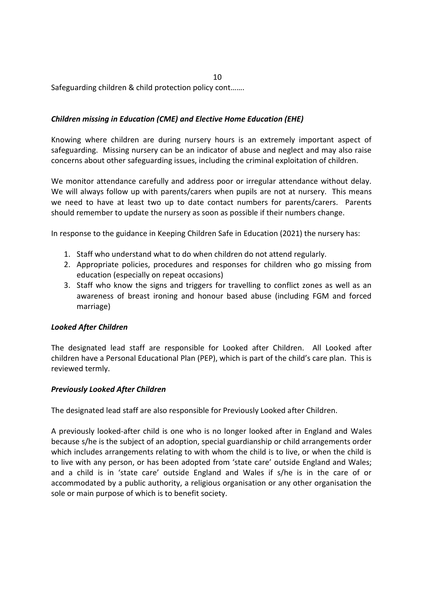10 Safeguarding children & child protection policy cont…….

# *Children missing in Education (CME) and Elective Home Education (EHE)*

Knowing where children are during nursery hours is an extremely important aspect of safeguarding. Missing nursery can be an indicator of abuse and neglect and may also raise concerns about other safeguarding issues, including the criminal exploitation of children.

We monitor attendance carefully and address poor or irregular attendance without delay. We will always follow up with parents/carers when pupils are not at nursery. This means we need to have at least two up to date contact numbers for parents/carers. Parents should remember to update the nursery as soon as possible if their numbers change.

In response to the guidance in Keeping Children Safe in Education (2021) the nursery has:

- 1. Staff who understand what to do when children do not attend regularly.
- 2. Appropriate policies, procedures and responses for children who go missing from education (especially on repeat occasions)
- 3. Staff who know the signs and triggers for travelling to conflict zones as well as an awareness of breast ironing and honour based abuse (including FGM and forced marriage)

# *Looked After Children*

The designated lead staff are responsible for Looked after Children. All Looked after children have a Personal Educational Plan (PEP), which is part of the child's care plan. This is reviewed termly.

# *Previously Looked After Children*

The designated lead staff are also responsible for Previously Looked after Children.

A previously looked-after child is one who is no longer looked after in England and Wales because s/he is the subject of an adoption, special guardianship or child arrangements order which includes arrangements relating to with whom the child is to live, or when the child is to live with any person, or has been adopted from 'state care' outside England and Wales; and a child is in 'state care' outside England and Wales if s/he is in the care of or accommodated by a public authority, a religious organisation or any other organisation the sole or main purpose of which is to benefit society.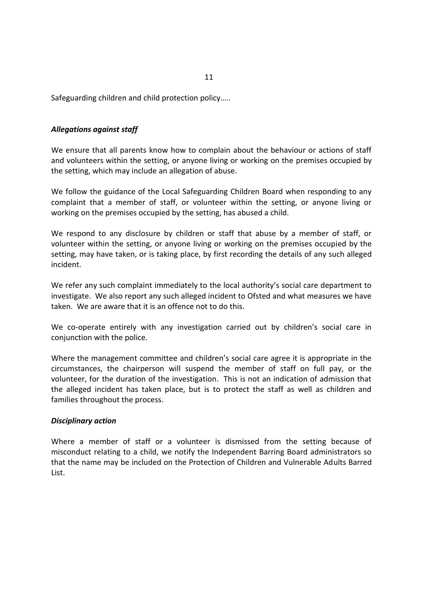Safeguarding children and child protection policy…..

#### *Allegations against staff*

We ensure that all parents know how to complain about the behaviour or actions of staff and volunteers within the setting, or anyone living or working on the premises occupied by the setting, which may include an allegation of abuse.

We follow the guidance of the Local Safeguarding Children Board when responding to any complaint that a member of staff, or volunteer within the setting, or anyone living or working on the premises occupied by the setting, has abused a child.

We respond to any disclosure by children or staff that abuse by a member of staff, or volunteer within the setting, or anyone living or working on the premises occupied by the setting, may have taken, or is taking place, by first recording the details of any such alleged incident.

We refer any such complaint immediately to the local authority's social care department to investigate. We also report any such alleged incident to Ofsted and what measures we have taken. We are aware that it is an offence not to do this.

We co-operate entirely with any investigation carried out by children's social care in conjunction with the police.

Where the management committee and children's social care agree it is appropriate in the circumstances, the chairperson will suspend the member of staff on full pay, or the volunteer, for the duration of the investigation. This is not an indication of admission that the alleged incident has taken place, but is to protect the staff as well as children and families throughout the process.

#### *Disciplinary action*

Where a member of staff or a volunteer is dismissed from the setting because of misconduct relating to a child, we notify the Independent Barring Board administrators so that the name may be included on the Protection of Children and Vulnerable Adults Barred List.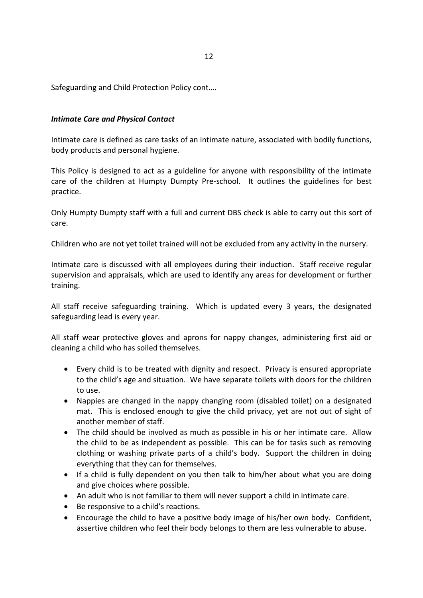Safeguarding and Child Protection Policy cont….

# *Intimate Care and Physical Contact*

Intimate care is defined as care tasks of an intimate nature, associated with bodily functions, body products and personal hygiene.

This Policy is designed to act as a guideline for anyone with responsibility of the intimate care of the children at Humpty Dumpty Pre-school. It outlines the guidelines for best practice.

Only Humpty Dumpty staff with a full and current DBS check is able to carry out this sort of care.

Children who are not yet toilet trained will not be excluded from any activity in the nursery.

Intimate care is discussed with all employees during their induction. Staff receive regular supervision and appraisals, which are used to identify any areas for development or further training.

All staff receive safeguarding training. Which is updated every 3 years, the designated safeguarding lead is every year.

All staff wear protective gloves and aprons for nappy changes, administering first aid or cleaning a child who has soiled themselves.

- Every child is to be treated with dignity and respect. Privacy is ensured appropriate to the child's age and situation. We have separate toilets with doors for the children to use.
- Nappies are changed in the nappy changing room (disabled toilet) on a designated mat. This is enclosed enough to give the child privacy, yet are not out of sight of another member of staff.
- The child should be involved as much as possible in his or her intimate care. Allow the child to be as independent as possible. This can be for tasks such as removing clothing or washing private parts of a child's body. Support the children in doing everything that they can for themselves.
- If a child is fully dependent on you then talk to him/her about what you are doing and give choices where possible.
- An adult who is not familiar to them will never support a child in intimate care.
- Be responsive to a child's reactions.
- Encourage the child to have a positive body image of his/her own body. Confident, assertive children who feel their body belongs to them are less vulnerable to abuse.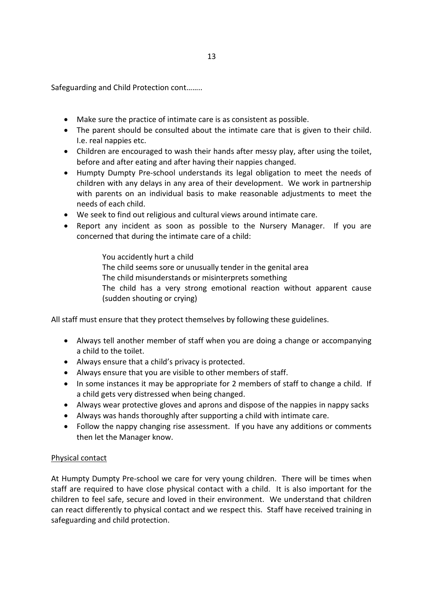Safeguarding and Child Protection cont……..

- Make sure the practice of intimate care is as consistent as possible.
- The parent should be consulted about the intimate care that is given to their child. I.e. real nappies etc.
- Children are encouraged to wash their hands after messy play, after using the toilet, before and after eating and after having their nappies changed.
- Humpty Dumpty Pre-school understands its legal obligation to meet the needs of children with any delays in any area of their development. We work in partnership with parents on an individual basis to make reasonable adjustments to meet the needs of each child.
- We seek to find out religious and cultural views around intimate care.
- Report any incident as soon as possible to the Nursery Manager. If you are concerned that during the intimate care of a child:

You accidently hurt a child The child seems sore or unusually tender in the genital area The child misunderstands or misinterprets something The child has a very strong emotional reaction without apparent cause (sudden shouting or crying)

All staff must ensure that they protect themselves by following these guidelines.

- Always tell another member of staff when you are doing a change or accompanying a child to the toilet.
- Always ensure that a child's privacy is protected.
- Always ensure that you are visible to other members of staff.
- In some instances it may be appropriate for 2 members of staff to change a child. If a child gets very distressed when being changed.
- Always wear protective gloves and aprons and dispose of the nappies in nappy sacks
- Always was hands thoroughly after supporting a child with intimate care.
- Follow the nappy changing rise assessment. If you have any additions or comments then let the Manager know.

# Physical contact

At Humpty Dumpty Pre-school we care for very young children. There will be times when staff are required to have close physical contact with a child. It is also important for the children to feel safe, secure and loved in their environment. We understand that children can react differently to physical contact and we respect this. Staff have received training in safeguarding and child protection.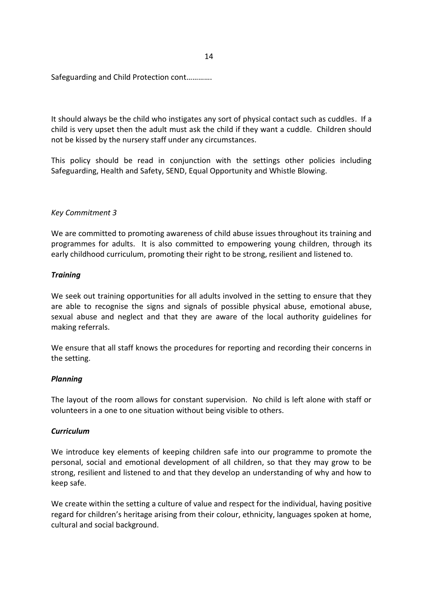Safeguarding and Child Protection cont………….

It should always be the child who instigates any sort of physical contact such as cuddles. If a child is very upset then the adult must ask the child if they want a cuddle. Children should not be kissed by the nursery staff under any circumstances.

This policy should be read in conjunction with the settings other policies including Safeguarding, Health and Safety, SEND, Equal Opportunity and Whistle Blowing.

# *Key Commitment 3*

We are committed to promoting awareness of child abuse issues throughout its training and programmes for adults. It is also committed to empowering young children, through its early childhood curriculum, promoting their right to be strong, resilient and listened to.

# *Training*

We seek out training opportunities for all adults involved in the setting to ensure that they are able to recognise the signs and signals of possible physical abuse, emotional abuse, sexual abuse and neglect and that they are aware of the local authority guidelines for making referrals.

We ensure that all staff knows the procedures for reporting and recording their concerns in the setting.

# *Planning*

The layout of the room allows for constant supervision. No child is left alone with staff or volunteers in a one to one situation without being visible to others.

# *Curriculum*

We introduce key elements of keeping children safe into our programme to promote the personal, social and emotional development of all children, so that they may grow to be strong, resilient and listened to and that they develop an understanding of why and how to keep safe.

We create within the setting a culture of value and respect for the individual, having positive regard for children's heritage arising from their colour, ethnicity, languages spoken at home, cultural and social background.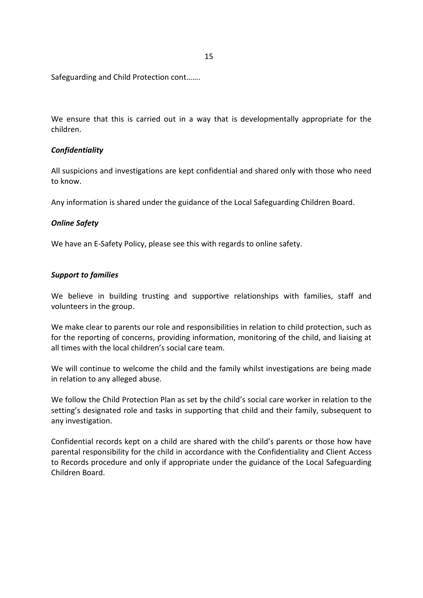Safeguarding and Child Protection cont…….

We ensure that this is carried out in a way that is developmentally appropriate for the children.

#### *Confidentiality*

All suspicions and investigations are kept confidential and shared only with those who need to know.

Any information is shared under the guidance of the Local Safeguarding Children Board.

#### *Online Safety*

We have an E-Safety Policy, please see this with regards to online safety.

#### *Support to families*

We believe in building trusting and supportive relationships with families, staff and volunteers in the group.

We make clear to parents our role and responsibilities in relation to child protection, such as for the reporting of concerns, providing information, monitoring of the child, and liaising at all times with the local children's social care team.

We will continue to welcome the child and the family whilst investigations are being made in relation to any alleged abuse.

We follow the Child Protection Plan as set by the child's social care worker in relation to the setting's designated role and tasks in supporting that child and their family, subsequent to any investigation.

Confidential records kept on a child are shared with the child's parents or those how have parental responsibility for the child in accordance with the Confidentiality and Client Access to Records procedure and only if appropriate under the guidance of the Local Safeguarding Children Board.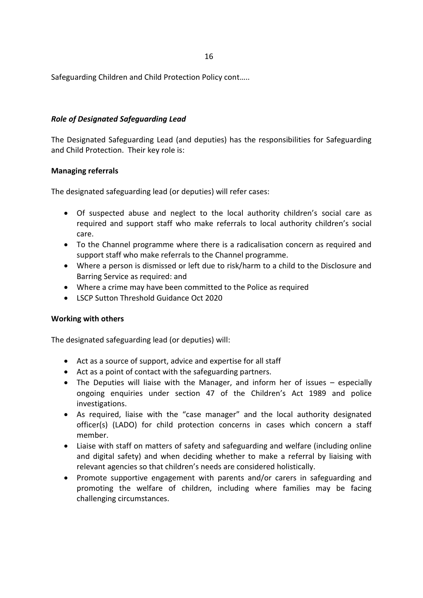16

Safeguarding Children and Child Protection Policy cont…..

# *Role of Designated Safeguarding Lead*

The Designated Safeguarding Lead (and deputies) has the responsibilities for Safeguarding and Child Protection. Their key role is:

# **Managing referrals**

The designated safeguarding lead (or deputies) will refer cases:

- Of suspected abuse and neglect to the local authority children's social care as required and support staff who make referrals to local authority children's social care.
- To the Channel programme where there is a radicalisation concern as required and support staff who make referrals to the Channel programme.
- Where a person is dismissed or left due to risk/harm to a child to the Disclosure and Barring Service as required: and
- Where a crime may have been committed to the Police as required
- LSCP Sutton Threshold Guidance Oct 2020

# **Working with others**

The designated safeguarding lead (or deputies) will:

- Act as a source of support, advice and expertise for all staff
- Act as a point of contact with the safeguarding partners.
- The Deputies will liaise with the Manager, and inform her of issues especially ongoing enquiries under section 47 of the Children's Act 1989 and police investigations.
- As required, liaise with the "case manager" and the local authority designated officer(s) (LADO) for child protection concerns in cases which concern a staff member.
- Liaise with staff on matters of safety and safeguarding and welfare (including online and digital safety) and when deciding whether to make a referral by liaising with relevant agencies so that children's needs are considered holistically.
- Promote supportive engagement with parents and/or carers in safeguarding and promoting the welfare of children, including where families may be facing challenging circumstances.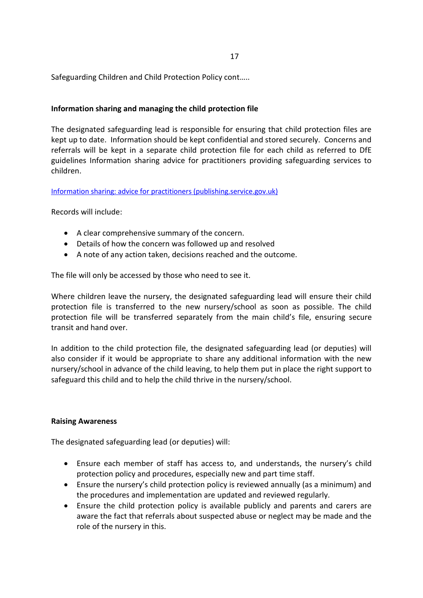Safeguarding Children and Child Protection Policy cont…..

# **Information sharing and managing the child protection file**

The designated safeguarding lead is responsible for ensuring that child protection files are kept up to date. Information should be kept confidential and stored securely. Concerns and referrals will be kept in a separate child protection file for each child as referred to DfE guidelines Information sharing advice for practitioners providing safeguarding services to children.

[Information sharing: advice for practitioners \(publishing.service.gov.uk\)](https://assets.publishing.service.gov.uk/government/uploads/system/uploads/attachment_data/file/721581/Information_sharing_advice_practitioners_safeguarding_services.pdf)

Records will include:

- A clear comprehensive summary of the concern.
- Details of how the concern was followed up and resolved
- A note of any action taken, decisions reached and the outcome.

The file will only be accessed by those who need to see it.

Where children leave the nursery, the designated safeguarding lead will ensure their child protection file is transferred to the new nursery/school as soon as possible. The child protection file will be transferred separately from the main child's file, ensuring secure transit and hand over.

In addition to the child protection file, the designated safeguarding lead (or deputies) will also consider if it would be appropriate to share any additional information with the new nursery/school in advance of the child leaving, to help them put in place the right support to safeguard this child and to help the child thrive in the nursery/school.

# **Raising Awareness**

The designated safeguarding lead (or deputies) will:

- Ensure each member of staff has access to, and understands, the nursery's child protection policy and procedures, especially new and part time staff.
- Ensure the nursery's child protection policy is reviewed annually (as a minimum) and the procedures and implementation are updated and reviewed regularly.
- Ensure the child protection policy is available publicly and parents and carers are aware the fact that referrals about suspected abuse or neglect may be made and the role of the nursery in this.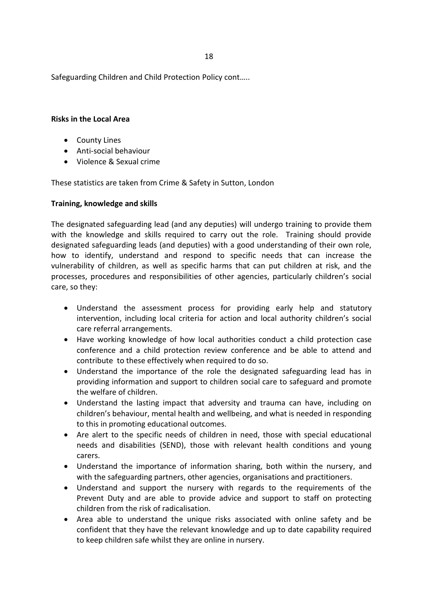18

Safeguarding Children and Child Protection Policy cont…..

# **Risks in the Local Area**

- County Lines
- Anti-social behaviour
- Violence & Sexual crime

These statistics are taken from Crime & Safety in Sutton, London

# **Training, knowledge and skills**

The designated safeguarding lead (and any deputies) will undergo training to provide them with the knowledge and skills required to carry out the role. Training should provide designated safeguarding leads (and deputies) with a good understanding of their own role, how to identify, understand and respond to specific needs that can increase the vulnerability of children, as well as specific harms that can put children at risk, and the processes, procedures and responsibilities of other agencies, particularly children's social care, so they:

- Understand the assessment process for providing early help and statutory intervention, including local criteria for action and local authority children's social care referral arrangements.
- Have working knowledge of how local authorities conduct a child protection case conference and a child protection review conference and be able to attend and contribute to these effectively when required to do so.
- Understand the importance of the role the designated safeguarding lead has in providing information and support to children social care to safeguard and promote the welfare of children.
- Understand the lasting impact that adversity and trauma can have, including on children's behaviour, mental health and wellbeing, and what is needed in responding to this in promoting educational outcomes.
- Are alert to the specific needs of children in need, those with special educational needs and disabilities (SEND), those with relevant health conditions and young carers.
- Understand the importance of information sharing, both within the nursery, and with the safeguarding partners, other agencies, organisations and practitioners.
- Understand and support the nursery with regards to the requirements of the Prevent Duty and are able to provide advice and support to staff on protecting children from the risk of radicalisation.
- Area able to understand the unique risks associated with online safety and be confident that they have the relevant knowledge and up to date capability required to keep children safe whilst they are online in nursery.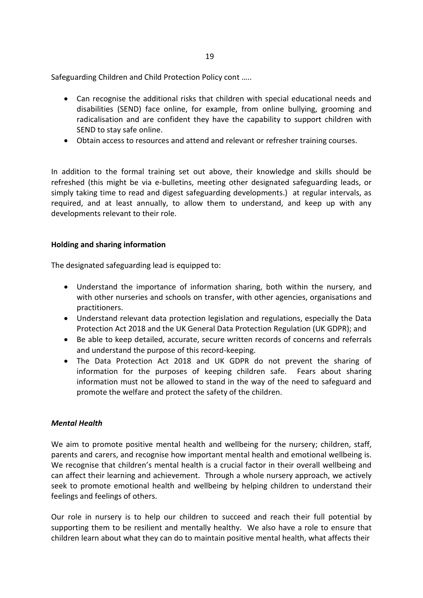19

Safeguarding Children and Child Protection Policy cont …..

- Can recognise the additional risks that children with special educational needs and disabilities (SEND) face online, for example, from online bullying, grooming and radicalisation and are confident they have the capability to support children with SEND to stay safe online.
- Obtain access to resources and attend and relevant or refresher training courses.

In addition to the formal training set out above, their knowledge and skills should be refreshed (this might be via e-bulletins, meeting other designated safeguarding leads, or simply taking time to read and digest safeguarding developments.) at regular intervals, as required, and at least annually, to allow them to understand, and keep up with any developments relevant to their role.

# **Holding and sharing information**

The designated safeguarding lead is equipped to:

- Understand the importance of information sharing, both within the nursery, and with other nurseries and schools on transfer, with other agencies, organisations and practitioners.
- Understand relevant data protection legislation and regulations, especially the Data Protection Act 2018 and the UK General Data Protection Regulation (UK GDPR); and
- Be able to keep detailed, accurate, secure written records of concerns and referrals and understand the purpose of this record-keeping.
- The Data Protection Act 2018 and UK GDPR do not prevent the sharing of information for the purposes of keeping children safe. Fears about sharing information must not be allowed to stand in the way of the need to safeguard and promote the welfare and protect the safety of the children.

# *Mental Health*

We aim to promote positive mental health and wellbeing for the nursery; children, staff, parents and carers, and recognise how important mental health and emotional wellbeing is. We recognise that children's mental health is a crucial factor in their overall wellbeing and can affect their learning and achievement. Through a whole nursery approach, we actively seek to promote emotional health and wellbeing by helping children to understand their feelings and feelings of others.

Our role in nursery is to help our children to succeed and reach their full potential by supporting them to be resilient and mentally healthy. We also have a role to ensure that children learn about what they can do to maintain positive mental health, what affects their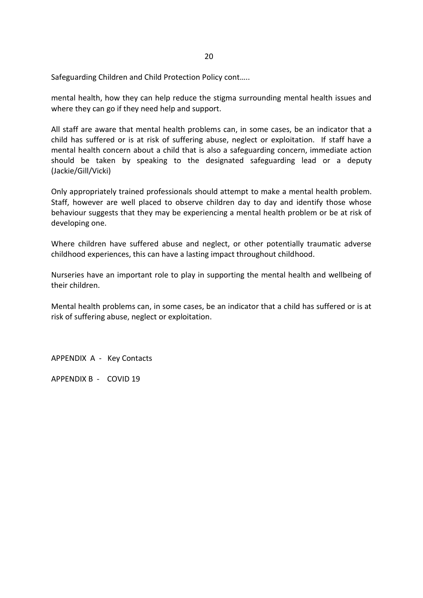Safeguarding Children and Child Protection Policy cont…..

mental health, how they can help reduce the stigma surrounding mental health issues and where they can go if they need help and support.

All staff are aware that mental health problems can, in some cases, be an indicator that a child has suffered or is at risk of suffering abuse, neglect or exploitation. If staff have a mental health concern about a child that is also a safeguarding concern, immediate action should be taken by speaking to the designated safeguarding lead or a deputy (Jackie/Gill/Vicki)

Only appropriately trained professionals should attempt to make a mental health problem. Staff, however are well placed to observe children day to day and identify those whose behaviour suggests that they may be experiencing a mental health problem or be at risk of developing one.

Where children have suffered abuse and neglect, or other potentially traumatic adverse childhood experiences, this can have a lasting impact throughout childhood.

Nurseries have an important role to play in supporting the mental health and wellbeing of their children.

Mental health problems can, in some cases, be an indicator that a child has suffered or is at risk of suffering abuse, neglect or exploitation.

APPENDIX A - Key Contacts

APPENDIX B - COVID 19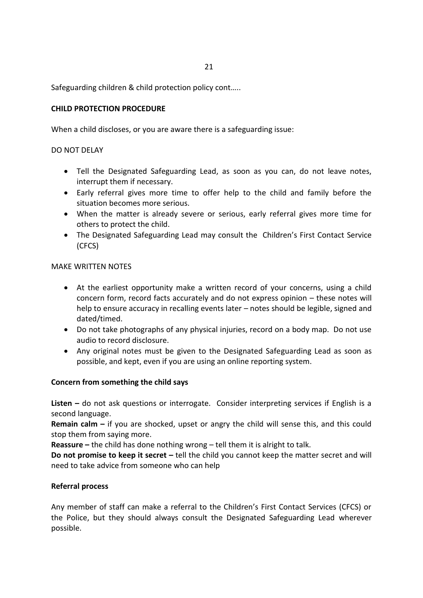Safeguarding children & child protection policy cont…..

# **CHILD PROTECTION PROCEDURE**

When a child discloses, or you are aware there is a safeguarding issue:

# DO NOT DELAY

- Tell the Designated Safeguarding Lead, as soon as you can, do not leave notes, interrupt them if necessary.
- Early referral gives more time to offer help to the child and family before the situation becomes more serious.
- When the matter is already severe or serious, early referral gives more time for others to protect the child.
- The Designated Safeguarding Lead may consult the Children's First Contact Service (CFCS)

# MAKE WRITTEN NOTES

- At the earliest opportunity make a written record of your concerns, using a child concern form, record facts accurately and do not express opinion – these notes will help to ensure accuracy in recalling events later – notes should be legible, signed and dated/timed.
- Do not take photographs of any physical injuries, record on a body map. Do not use audio to record disclosure.
- Any original notes must be given to the Designated Safeguarding Lead as soon as possible, and kept, even if you are using an online reporting system.

# **Concern from something the child says**

**Listen –** do not ask questions or interrogate. Consider interpreting services if English is a second language.

**Remain calm –** if you are shocked, upset or angry the child will sense this, and this could stop them from saying more.

**Reassure** – the child has done nothing wrong – tell them it is alright to talk.

**Do not promise to keep it secret –** tell the child you cannot keep the matter secret and will need to take advice from someone who can help

# **Referral process**

Any member of staff can make a referral to the Children's First Contact Services (CFCS) or the Police, but they should always consult the Designated Safeguarding Lead wherever possible.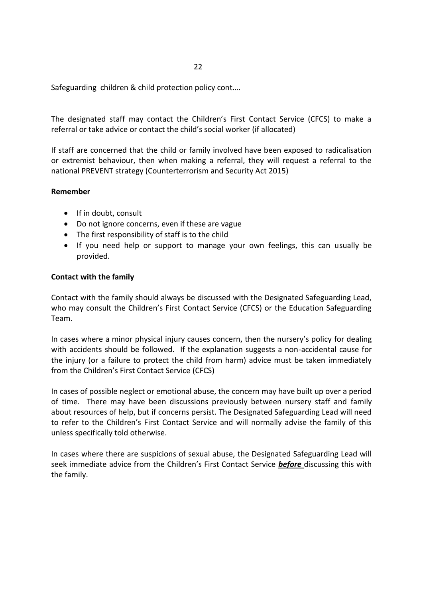Safeguarding children & child protection policy cont….

The designated staff may contact the Children's First Contact Service (CFCS) to make a referral or take advice or contact the child's social worker (if allocated)

If staff are concerned that the child or family involved have been exposed to radicalisation or extremist behaviour, then when making a referral, they will request a referral to the national PREVENT strategy (Counterterrorism and Security Act 2015)

# **Remember**

- If in doubt, consult
- Do not ignore concerns, even if these are vague
- The first responsibility of staff is to the child
- If you need help or support to manage your own feelings, this can usually be provided.

#### **Contact with the family**

Contact with the family should always be discussed with the Designated Safeguarding Lead, who may consult the Children's First Contact Service (CFCS) or the Education Safeguarding Team.

In cases where a minor physical injury causes concern, then the nursery's policy for dealing with accidents should be followed. If the explanation suggests a non-accidental cause for the injury (or a failure to protect the child from harm) advice must be taken immediately from the Children's First Contact Service (CFCS)

In cases of possible neglect or emotional abuse, the concern may have built up over a period of time. There may have been discussions previously between nursery staff and family about resources of help, but if concerns persist. The Designated Safeguarding Lead will need to refer to the Children's First Contact Service and will normally advise the family of this unless specifically told otherwise.

In cases where there are suspicions of sexual abuse, the Designated Safeguarding Lead will seek immediate advice from the Children's First Contact Service *before* discussing this with the family.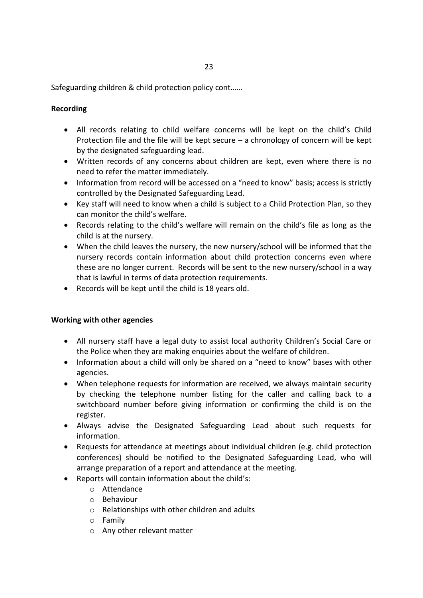Safeguarding children & child protection policy cont……

# **Recording**

- All records relating to child welfare concerns will be kept on the child's Child Protection file and the file will be kept secure – a chronology of concern will be kept by the designated safeguarding lead.
- Written records of any concerns about children are kept, even where there is no need to refer the matter immediately.
- Information from record will be accessed on a "need to know" basis; access is strictly controlled by the Designated Safeguarding Lead.
- Key staff will need to know when a child is subject to a Child Protection Plan, so they can monitor the child's welfare.
- Records relating to the child's welfare will remain on the child's file as long as the child is at the nursery.
- When the child leaves the nursery, the new nursery/school will be informed that the nursery records contain information about child protection concerns even where these are no longer current. Records will be sent to the new nursery/school in a way that is lawful in terms of data protection requirements.
- Records will be kept until the child is 18 years old.

# **Working with other agencies**

- All nursery staff have a legal duty to assist local authority Children's Social Care or the Police when they are making enquiries about the welfare of children.
- Information about a child will only be shared on a "need to know" bases with other agencies.
- When telephone requests for information are received, we always maintain security by checking the telephone number listing for the caller and calling back to a switchboard number before giving information or confirming the child is on the register.
- Always advise the Designated Safeguarding Lead about such requests for information.
- Requests for attendance at meetings about individual children (e.g. child protection conferences) should be notified to the Designated Safeguarding Lead, who will arrange preparation of a report and attendance at the meeting.
- Reports will contain information about the child's:
	- o Attendance
	- o Behaviour
	- o Relationships with other children and adults
	- o Family
	- o Any other relevant matter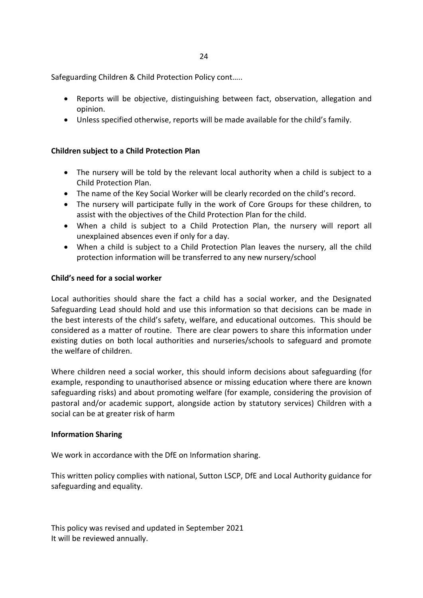Safeguarding Children & Child Protection Policy cont…..

- Reports will be objective, distinguishing between fact, observation, allegation and opinion.
- Unless specified otherwise, reports will be made available for the child's family.

# **Children subject to a Child Protection Plan**

- The nursery will be told by the relevant local authority when a child is subject to a Child Protection Plan.
- The name of the Key Social Worker will be clearly recorded on the child's record.
- The nursery will participate fully in the work of Core Groups for these children, to assist with the objectives of the Child Protection Plan for the child.
- When a child is subject to a Child Protection Plan, the nursery will report all unexplained absences even if only for a day.
- When a child is subject to a Child Protection Plan leaves the nursery, all the child protection information will be transferred to any new nursery/school

# **Child's need for a social worker**

Local authorities should share the fact a child has a social worker, and the Designated Safeguarding Lead should hold and use this information so that decisions can be made in the best interests of the child's safety, welfare, and educational outcomes. This should be considered as a matter of routine. There are clear powers to share this information under existing duties on both local authorities and nurseries/schools to safeguard and promote the welfare of children.

Where children need a social worker, this should inform decisions about safeguarding (for example, responding to unauthorised absence or missing education where there are known safeguarding risks) and about promoting welfare (for example, considering the provision of pastoral and/or academic support, alongside action by statutory services) Children with a social can be at greater risk of harm

# **Information Sharing**

We work in accordance with the DfE on Information sharing.

This written policy complies with national, Sutton LSCP, DfE and Local Authority guidance for safeguarding and equality.

This policy was revised and updated in September 2021 It will be reviewed annually.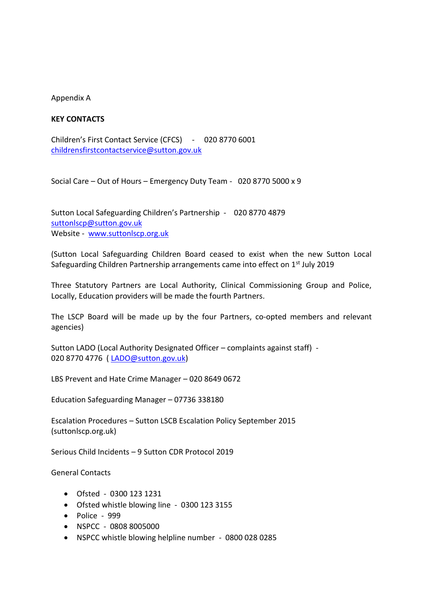#### Appendix A

# **KEY CONTACTS**

Children's First Contact Service (CFCS) - 020 8770 6001 [childrensfirstcontactservice@sutton.gov.uk](mailto:childrensfirstcontactservice@sutton.gov.uk)

Social Care – Out of Hours – Emergency Duty Team - 020 8770 5000 x 9

Sutton Local Safeguarding Children's Partnership - 020 8770 4879 [suttonlscp@sutton.gov.uk](mailto:suttonlscp@sutton.gov.uk) Website - [www.suttonlscp.org.uk](http://www.suttonlscp.org.uk/)

(Sutton Local Safeguarding Children Board ceased to exist when the new Sutton Local Safeguarding Children Partnership arrangements came into effect on 1<sup>st</sup> July 2019

Three Statutory Partners are Local Authority, Clinical Commissioning Group and Police, Locally, Education providers will be made the fourth Partners.

The LSCP Board will be made up by the four Partners, co-opted members and relevant agencies)

Sutton LADO (Local Authority Designated Officer – complaints against staff) - 020 8770 4776 ( [LADO@sutton.gov.uk\)](mailto:LADO@sutton.gov.uk)

LBS Prevent and Hate Crime Manager – 020 8649 0672

Education Safeguarding Manager – 07736 338180

Escalation Procedures – Sutton LSCB Escalation Policy September 2015 (suttonlscp.org.uk)

Serious Child Incidents – 9 Sutton CDR Protocol 2019

General Contacts

- Ofsted 0300 123 1231
- Ofsted whistle blowing line 0300 123 3155
- Police 999
- NSPCC 0808 8005000
- NSPCC whistle blowing helpline number 0800 028 0285